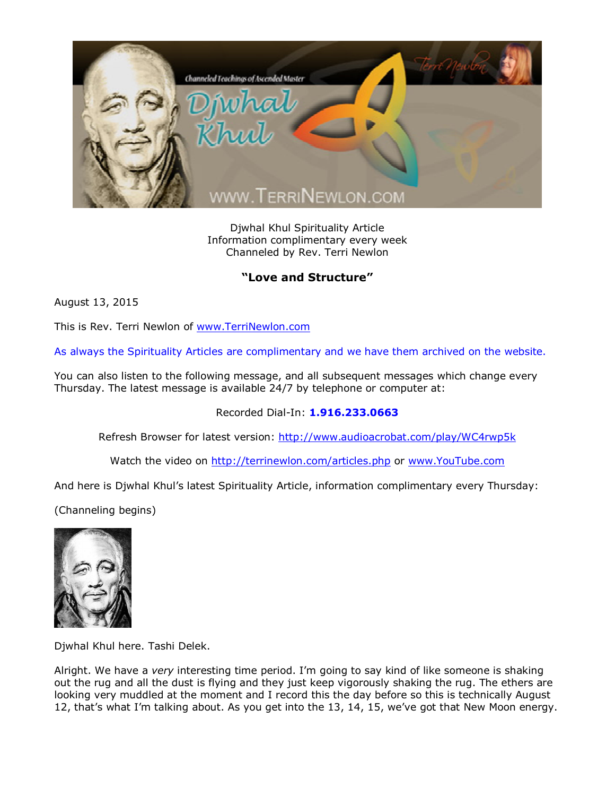

Djwhal Khul Spirituality Article Information complimentary every week Channeled by Rev. Terri Newlon

## **"Love and Structure"**

August 13, 2015

This is Rev. Terri Newlon of [www.TerriNewlon.com](http://www.terrinewlon.com/)

As always the Spirituality Articles are complimentary and we have them archived on the website.

You can also listen to the following message, and all subsequent messages which change every Thursday. The latest message is available 24/7 by telephone or computer at:

## Recorded Dial-In: **1.916.233.0663**

Refresh Browser for latest version: <http://www.audioacrobat.com/play/WC4rwp5k>

Watch the video on <http://terrinewlon.com/articles.php> or [www.YouTube.com](http://www.youtube.com/)

And here is Djwhal Khul's latest Spirituality Article, information complimentary every Thursday:

(Channeling begins)



Djwhal Khul here. Tashi Delek.

Alright. We have a *very* interesting time period. I'm going to say kind of like someone is shaking out the rug and all the dust is flying and they just keep vigorously shaking the rug. The ethers are looking very muddled at the moment and I record this the day before so this is technically August 12, that's what I'm talking about. As you get into the 13, 14, 15, we've got that New Moon energy.